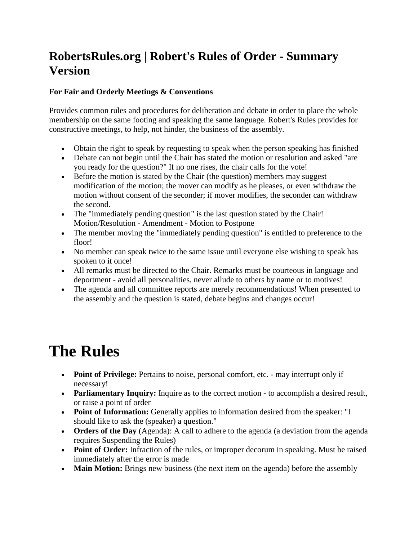## **RobertsRules.org | Robert's Rules of Order - Summary Version**

## **For Fair and Orderly Meetings & Conventions**

Provides common rules and procedures for deliberation and debate in order to place the whole membership on the same footing and speaking the same language. Robert's Rules provides for constructive meetings, to help, not hinder, the business of the assembly.

- Obtain the right to speak by requesting to speak when the person speaking has finished
- Debate can not begin until the Chair has stated the motion or resolution and asked "are you ready for the question?" If no one rises, the chair calls for the vote!
- Before the motion is stated by the Chair (the question) members may suggest modification of the motion; the mover can modify as he pleases, or even withdraw the motion without consent of the seconder; if mover modifies, the seconder can withdraw the second.
- The "immediately pending question" is the last question stated by the Chair! Motion/Resolution - Amendment - Motion to Postpone
- The member moving the "immediately pending question" is entitled to preference to the floor!
- No member can speak twice to the same issue until everyone else wishing to speak has spoken to it once!
- All remarks must be directed to the Chair. Remarks must be courteous in language and deportment - avoid all personalities, never allude to others by name or to motives!
- The agenda and all committee reports are merely recommendations! When presented to the assembly and the question is stated, debate begins and changes occur!

## **The Rules**

- **Point of Privilege:** Pertains to noise, personal comfort, etc. may interrupt only if necessary!
- **Parliamentary Inquiry:** Inquire as to the correct motion to accomplish a desired result, or raise a point of order
- **Point of Information:** Generally applies to information desired from the speaker: "I should like to ask the (speaker) a question."
- **Orders of the Day** (Agenda): A call to adhere to the agenda (a deviation from the agenda requires Suspending the Rules)
- **Point of Order:** Infraction of the rules, or improper decorum in speaking. Must be raised immediately after the error is made
- **Main Motion:** Brings new business (the next item on the agenda) before the assembly